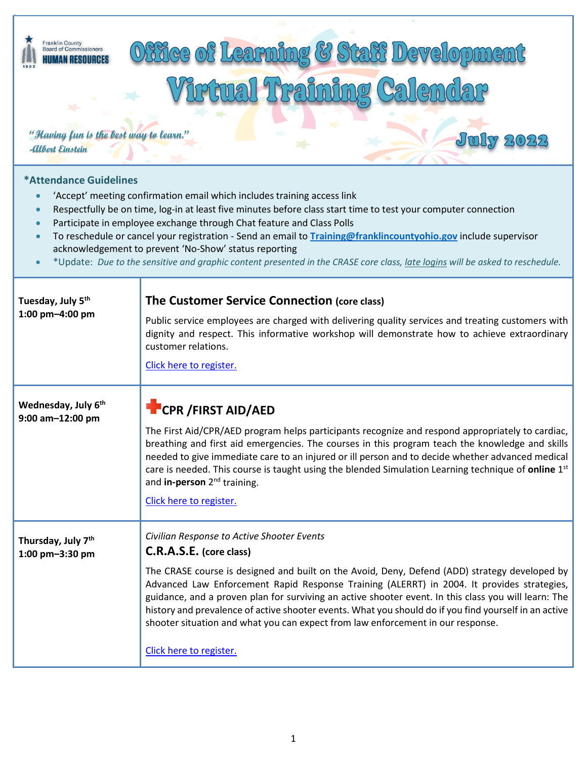# Franklin County<br>Board of Commissioners ffice of Learning & **HUMAN RESOURCES** Craimi **"Having fun is the best way to learn." -Albert Einstein\*Attendance Guidelines** • 'Accept' meeting confirmation email which includes training access link • Respectfully be on time, log-in at least five minutes before class start time to test your computer connection • Participate in employee exchange through Chat feature and Class Polls • To reschedule or cancel your registration - Send an email to **[Training@franklincountyohio.gov](mailto:Training@franklincountyohio.gov)** include supervisor acknowledgement to prevent 'No-Show' status reporting • \*Update: *Due to the sensitive and graphic content presented in the CRASE core class, late logins will be asked to reschedule.* **The Customer Service Connection (core class) Tuesday, July 5th 1:00 pm–4:00 pm** Public service employees are charged with delivering quality services and treating customers with dignity and respect. This informative workshop will demonstrate how to achieve extraordinary customer relations. [Click here to register.](https://portal.co.franklin.oh.us/hr/training/) **Wednesday, July 6th 9:00 am–12:00 pm CPR /FIRST AID/AED** The First Aid/CPR/AED program helps participants recognize and respond appropriately to cardiac, breathing and first aid emergencies. The courses in this program teach the knowledge and skills needed to give immediate care to an injured or ill person and to decide whether advanced medical care is needed. This course is taught using the blended Simulation Learning technique of **online** 1st and **in-person** 2nd training. [Click here to register.](https://portal.co.franklin.oh.us/hr/training/) *Civilian Response to Active Shooter Events* **Thursday, July 7th C.R.A.S.E. (core class) 1:00 pm–3:30 pm** The CRASE course is designed and built on the Avoid, Deny, Defend (ADD) strategy developed by Advanced Law Enforcement Rapid Response Training (ALERRT) in 2004. It provides strategies, guidance, and a proven plan for surviving an active shooter event. In this class you will learn: The history and prevalence of active shooter events. What you should do if you find yourself in an active shooter situation and what you can expect from law enforcement in our response. [Click here to register.](https://portal.co.franklin.oh.us/hr/training/)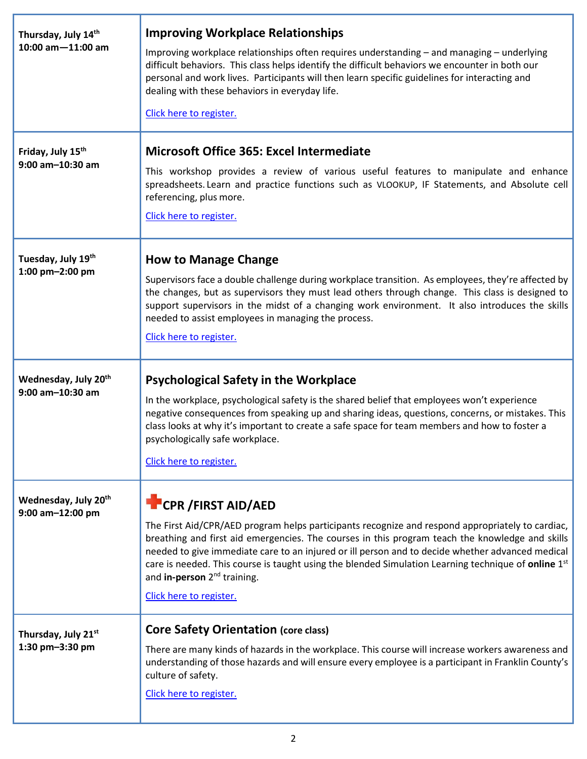| Thursday, July 14th<br>$10:00$ am $-11:00$ am             | <b>Improving Workplace Relationships</b><br>Improving workplace relationships often requires understanding - and managing - underlying<br>difficult behaviors. This class helps identify the difficult behaviors we encounter in both our<br>personal and work lives. Participants will then learn specific guidelines for interacting and<br>dealing with these behaviors in everyday life.<br>Click here to register.                                                                                                        |
|-----------------------------------------------------------|--------------------------------------------------------------------------------------------------------------------------------------------------------------------------------------------------------------------------------------------------------------------------------------------------------------------------------------------------------------------------------------------------------------------------------------------------------------------------------------------------------------------------------|
| Friday, July 15 <sup>th</sup><br>9:00 am-10:30 am         | <b>Microsoft Office 365: Excel Intermediate</b><br>This workshop provides a review of various useful features to manipulate and enhance<br>spreadsheets. Learn and practice functions such as VLOOKUP, IF Statements, and Absolute cell<br>referencing, plus more.<br>Click here to register.                                                                                                                                                                                                                                  |
| Tuesday, July 19th<br>1:00 pm-2:00 pm                     | <b>How to Manage Change</b><br>Supervisors face a double challenge during workplace transition. As employees, they're affected by<br>the changes, but as supervisors they must lead others through change. This class is designed to<br>support supervisors in the midst of a changing work environment. It also introduces the skills<br>needed to assist employees in managing the process.<br>Click here to register.                                                                                                       |
| Wednesday, July 20 <sup>th</sup><br>$9:00$ am $-10:30$ am | <b>Psychological Safety in the Workplace</b><br>In the workplace, psychological safety is the shared belief that employees won't experience<br>negative consequences from speaking up and sharing ideas, questions, concerns, or mistakes. This<br>class looks at why it's important to create a safe space for team members and how to foster a<br>psychologically safe workplace.<br>Click here to register.                                                                                                                 |
| Wednesday, July 20 <sup>th</sup><br>9:00 am-12:00 pm      | <b>CPR / FIRST AID/AED</b><br>The First Aid/CPR/AED program helps participants recognize and respond appropriately to cardiac,<br>breathing and first aid emergencies. The courses in this program teach the knowledge and skills<br>needed to give immediate care to an injured or ill person and to decide whether advanced medical<br>care is needed. This course is taught using the blended Simulation Learning technique of online 1 <sup>st</sup><br>and in-person 2 <sup>nd</sup> training.<br>Click here to register. |
| Thursday, July 21st<br>1:30 pm-3:30 pm                    | <b>Core Safety Orientation (core class)</b><br>There are many kinds of hazards in the workplace. This course will increase workers awareness and<br>understanding of those hazards and will ensure every employee is a participant in Franklin County's<br>culture of safety.<br>Click here to register.                                                                                                                                                                                                                       |